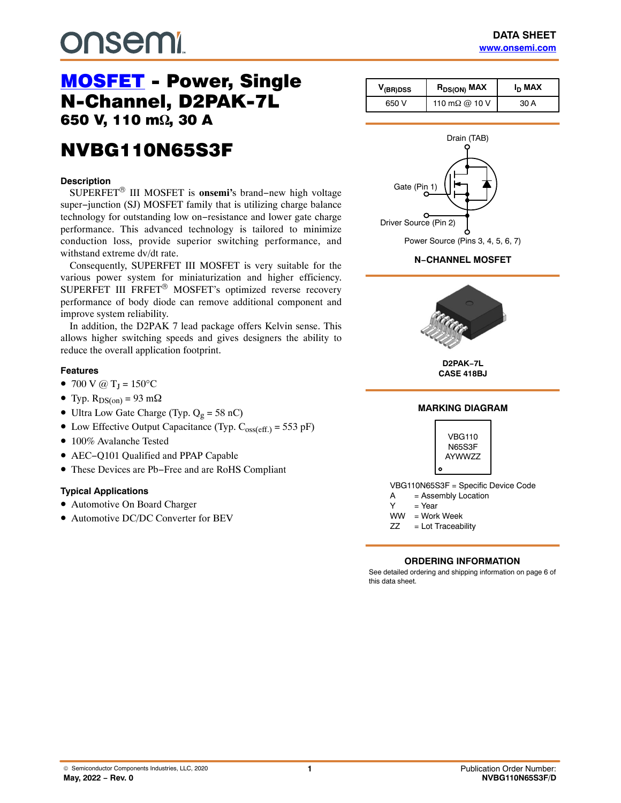# **DUSEMI**

# [MOSFET](https://www.onsemi.com/products/discretes-drivers/mosfets) - Power, Single<br>N-Channel, D2PAK-7L 650 V, 110 m<sup>o</sup><sub>2</sub>, 30 A ,  $\overline{\phantom{a}}$

## NVBG110N65S3F NVBG110N65S3F

#### **Description**

SUPERFET® III MOSFET is **onsemi'**s brand−new high voltage super−junction (SJ) MOSFET family that is utilizing charge balance technology for outstanding low on−resistance and lower gate charge performance. This advanced technology is tailored to minimize conduction loss, provide superior switching performance, and withstand extreme dv/dt rate.

Consequently, SUPERFET III MOSFET is very suitable for the various power system for miniaturization and higher efficiency. SUPERFET III FRFET® MOSFET's optimized reverse recovery performance of body diode can remove additional component and improve system reliability.

In addition, the D2PAK 7 lead package offers Kelvin sense. This allows higher switching speeds and gives designers the ability to reduce the overall application footprint.

#### **Features**

- 700 V @  $T_J = 150$ °C
- Typ.  $R_{DS(on)} = 93$  m $\Omega$
- Ultra Low Gate Charge (Typ.  $Q_g = 58$  nC)
- Low Effective Output Capacitance (Typ.  $C_{oss(eff.)} = 553 pF$ )
- 100% Avalanche Tested
- AEC−Q101 Qualified and PPAP Capable
- These Devices are Pb−Free and are RoHS Compliant

#### **Typical Applications**

- Automotive On Board Charger
- Automotive DC/DC Converter for BEV

| $V_{\text{(BR)DSS}}$ | I <sub>D</sub> MAX<br>R <sub>DS(ON)</sub> MAX |      |
|----------------------|-----------------------------------------------|------|
| 650 V                | 110 m $\Omega$ @ 10 V                         | 30 A |



**D2PAK−7L CASE 418BJ**





A = Assembly Location

- $Y = Year$
- WW = Work Week
- ZZ = Lot Traceability

#### **ORDERING INFORMATION**

See detailed ordering and shipping information on page [6](#page-5-0) of this data sheet.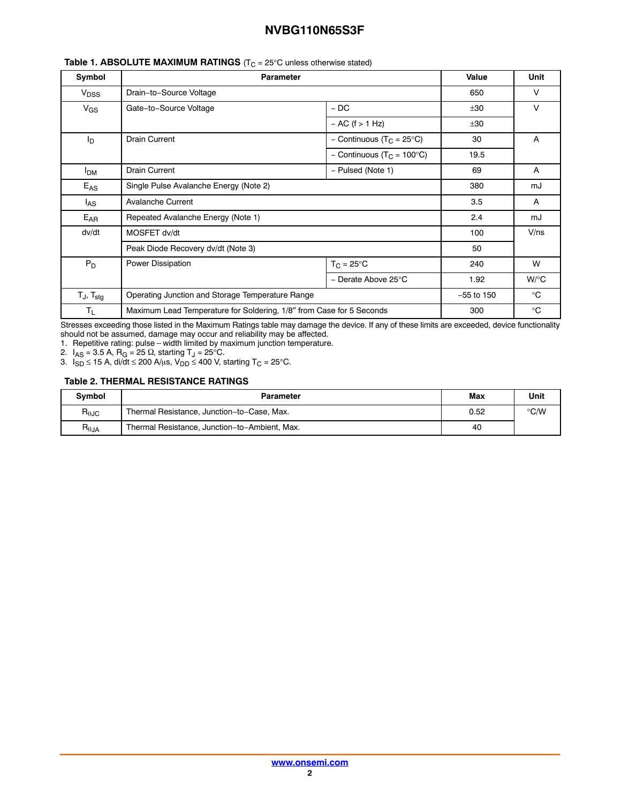| Symbol                            | <b>Parameter</b>                                                     |                                       | Value        | <b>Unit</b>  |
|-----------------------------------|----------------------------------------------------------------------|---------------------------------------|--------------|--------------|
| V <sub>DSS</sub>                  | Drain-to-Source Voltage                                              |                                       | 650          | v            |
| $V_{GS}$                          | Gate-to-Source Voltage                                               | $-DC$                                 | ±30          | $\vee$       |
|                                   |                                                                      | $- AC$ (f $> 1 Hz$ )                  | ±30          |              |
| I <sub>D</sub>                    | <b>Drain Current</b>                                                 | - Continuous (T <sub>C</sub> = 25°C)  | 30           | A            |
|                                   |                                                                      | - Continuous (T <sub>C</sub> = 100°C) | 19.5         |              |
| <b>I</b> <sub>DM</sub>            | <b>Drain Current</b>                                                 | - Pulsed (Note 1)                     |              | A            |
| $E_{AS}$                          | Single Pulse Avalanche Energy (Note 2)                               |                                       | 380          | mJ           |
| l <sub>AS</sub>                   | <b>Avalanche Current</b>                                             |                                       | 3.5          | A            |
| $E_{AR}$                          | Repeated Avalanche Energy (Note 1)                                   |                                       | 2.4          | mJ           |
| dv/dt                             | MOSFET dv/dt                                                         |                                       | 100          | $V$ /ns      |
|                                   | Peak Diode Recovery dv/dt (Note 3)                                   |                                       | 50           |              |
| $P_D$                             | Power Dissipation                                                    | $T_C = 25^{\circ}C$                   | 240          | W            |
|                                   |                                                                      | - Derate Above 25°C                   | 1.92         | $W$ /°C      |
| T <sub>J</sub> , T <sub>stg</sub> | Operating Junction and Storage Temperature Range                     |                                       | $-55$ to 150 | $^{\circ}$ C |
| $T_L$                             | Maximum Lead Temperature for Soldering, 1/8" from Case for 5 Seconds |                                       | 300          | $^{\circ}$ C |

#### **Table 1. ABSOLUTE MAXIMUM RATINGS** (T<sub>C</sub> = 25°C unless otherwise stated)

Stresses exceeding those listed in the Maximum Ratings table may damage the device. If any of these limits are exceeded, device functionality

should not be assumed, damage may occur and reliability may be affected. 1. Repetitive rating: pulse-width limited by maximum junction temperature.

2.  $I_{AS}$  = 3.5 A, R<sub>G</sub> = 25  $\Omega$ , starting T<sub>J</sub> = 25 $^{\circ}$ C.

3.  $I_{SD}$  ≤ 15 A, di/dt ≤ 200 A/ $\mu$ s, V<sub>DD</sub> ≤ 400 V, starting T<sub>C</sub> = 25°C.

#### **Table 2. THERMAL RESISTANCE RATINGS**

| <b>Symbol</b>                    | Parameter                                     | Max | Unit          |
|----------------------------------|-----------------------------------------------|-----|---------------|
| $R_{\theta$ JC                   | Thermal Resistance, Junction-to-Case, Max.    |     | $\degree$ C/W |
| $\mathsf{R}_{\theta\mathsf{JA}}$ | Thermal Resistance, Junction-to-Ambient, Max. | 40  |               |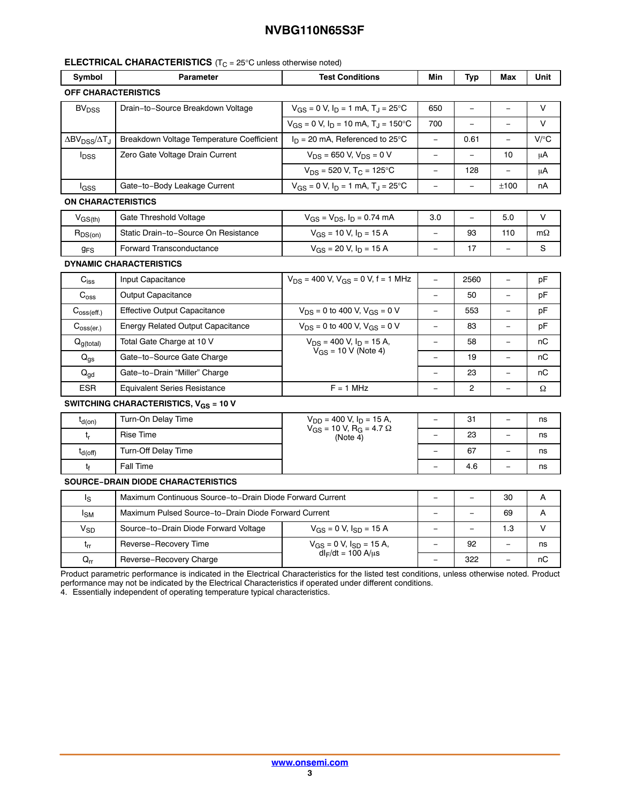#### **ELECTRICAL CHARACTERISTICS** (T<sub>C</sub> = 25°C unless otherwise noted)

| Symbol                                                       | <b>Parameter</b>                                         | <b>Test Conditions</b>                                     |                          | Typ                      | Max                      | Unit      |  |
|--------------------------------------------------------------|----------------------------------------------------------|------------------------------------------------------------|--------------------------|--------------------------|--------------------------|-----------|--|
| <b>OFF CHARACTERISTICS</b>                                   |                                                          |                                                            |                          |                          |                          |           |  |
| Drain-to-Source Breakdown Voltage<br><b>BV<sub>DSS</sub></b> |                                                          | $V_{GS} = 0$ V, $I_D = 1$ mA, $T_J = 25$ °C                | 650                      |                          |                          | $\vee$    |  |
|                                                              |                                                          | $V_{GS} = 0$ V, $I_D = 10$ mA, $T_L = 150$ °C              | 700                      | $\overline{\phantom{0}}$ | $\equiv$                 | $\vee$    |  |
| $\Delta$ BV <sub>DSS</sub> / $\Delta$ T <sub>J</sub>         | Breakdown Voltage Temperature Coefficient                | $I_D = 20$ mA, Referenced to 25°C                          | $\equiv$                 | 0.61                     | $\equiv$                 | $V$ / $C$ |  |
| <b>l</b> <sub>DSS</sub>                                      | Zero Gate Voltage Drain Current                          | $V_{DS}$ = 650 V, $V_{DS}$ = 0 V                           |                          |                          | 10                       | μA        |  |
|                                                              |                                                          | $V_{DS}$ = 520 V, T <sub>C</sub> = 125°C                   | $\overline{\phantom{0}}$ | 128                      |                          | μA        |  |
| lgss                                                         | Gate-to-Body Leakage Current                             | $V_{GS} = 0$ V, $I_D = 1$ mA, $T_J = 25$ °C                | $\equiv$                 | $\equiv$                 | ±100                     | nA        |  |
| <b>ON CHARACTERISTICS</b>                                    |                                                          |                                                            |                          |                          |                          |           |  |
| $V_{GS(th)}$                                                 | Gate Threshold Voltage                                   | $V_{GS} = V_{DS}$ , $I_D = 0.74$ mA                        | 3.0                      | $\overline{\phantom{a}}$ | 5.0                      | $\vee$    |  |
| $R_{DS(on)}$                                                 | Static Drain-to-Source On Resistance                     | $V_{GS}$ = 10 V, $I_D$ = 15 A                              |                          | 93                       | 110                      | $m\Omega$ |  |
| <b>g<sub>FS</sub></b>                                        | Forward Transconductance                                 | $V_{GS}$ = 20 V, $I_D$ = 15 A                              | $\overline{\phantom{0}}$ | 17                       |                          | S         |  |
|                                                              | <b>DYNAMIC CHARACTERISTICS</b>                           |                                                            |                          |                          |                          |           |  |
| $C_{iss}$                                                    | Input Capacitance                                        | $V_{DS}$ = 400 V, $V_{GS}$ = 0 V, f = 1 MHz                | $\overline{\phantom{0}}$ | 2560                     |                          | pF        |  |
| $C_{\rm oss}$                                                | Output Capacitance                                       |                                                            | $\equiv$                 | 50                       | $\equiv$                 | рF        |  |
| $C_{\text{oss}(eff.)}$                                       | <b>Effective Output Capacitance</b>                      | $V_{DS} = 0$ to 400 V, $V_{GS} = 0$ V                      | $\overline{\phantom{0}}$ | 553                      | $\overline{\phantom{0}}$ | рF        |  |
| $C_{\text{oss}(er.)}$                                        | <b>Energy Related Output Capacitance</b>                 | $V_{DS}$ = 0 to 400 V, $V_{GS}$ = 0 V                      |                          | 83                       |                          | pF        |  |
| $Q_{g(total)}$                                               | Total Gate Charge at 10 V                                | $V_{DS}$ = 400 V, $I_D$ = 15 A,                            |                          | 58                       |                          | пC        |  |
| $Q_{\text{qs}}$                                              | Gate-to-Source Gate Charge                               | $V_{GS}$ = 10 V (Note 4)                                   | $\equiv$                 | 19                       | $\qquad \qquad -$        | пC        |  |
| $\mathsf{Q}_{\mathsf{gd}}$                                   | Gate-to-Drain "Miller" Charge                            |                                                            |                          | 23                       |                          | nC        |  |
| <b>ESR</b>                                                   | <b>Equivalent Series Resistance</b>                      | $F = 1$ MHz                                                | $\equiv$                 | $\overline{c}$           |                          | Ω         |  |
|                                                              | SWITCHING CHARACTERISTICS, $V_{GS}$ = 10 V               |                                                            |                          |                          |                          |           |  |
| $t_{d(on)}$                                                  | Turn-On Delay Time                                       | $V_{DD}$ = 400 V, $I_D$ = 15 A,                            |                          | 31                       |                          | ns        |  |
| $t_{r}$                                                      | <b>Rise Time</b>                                         | $V_{GS}$ = 10 V, R <sub>G</sub> = 4.7 $\Omega$<br>(Note 4) |                          | 23                       |                          | ns        |  |
| $t_{d(off)}$                                                 | Turn-Off Delay Time                                      |                                                            | $\equiv$                 | 67                       |                          | ns        |  |
| tf                                                           | Fall Time                                                |                                                            |                          | 4.6                      |                          | ns        |  |
|                                                              | <b>SOURCE-DRAIN DIODE CHARACTERISTICS</b>                |                                                            |                          |                          |                          |           |  |
| ls                                                           | Maximum Continuous Source-to-Drain Diode Forward Current |                                                            |                          | $\equiv$                 | 30                       | A         |  |
| l <sub>SM</sub>                                              | Maximum Pulsed Source-to-Drain Diode Forward Current     |                                                            |                          |                          | 69                       | A         |  |
| $V_{SD}$                                                     | Source-to-Drain Diode Forward Voltage                    | $V_{GS} = 0 V$ , $I_{SD} = 15 A$                           | $\equiv$                 | $\equiv$                 | 1.3                      | $\vee$    |  |
| $t_{rr}$                                                     | Reverse-Recovery Time                                    | $V_{GS} = 0 V$ , $I_{SD} = 15 A$ ,                         |                          | 92                       |                          | ns        |  |
| $\mathsf{Q}_{\mathsf{r}\mathsf{r}}$                          | Reverse-Recovery Charge                                  | $dl_F/dt = 100 A/μs$                                       | $\equiv$                 | 322                      | $\equiv$                 | пC        |  |

Product parametric performance is indicated in the Electrical Characteristics for the listed test conditions, unless otherwise noted. Product performance may not be indicated by the Electrical Characteristics if operated under different conditions.

4. Essentially independent of operating temperature typical characteristics.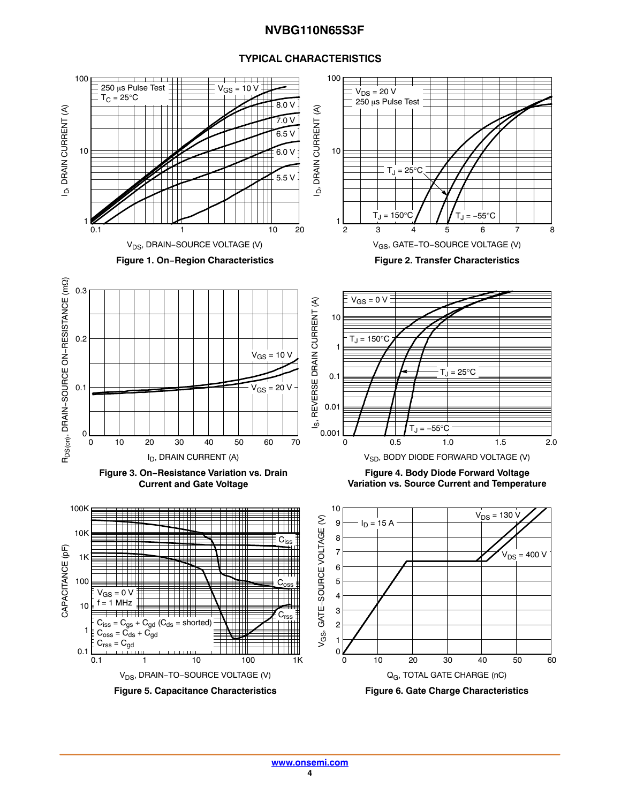

#### **TYPICAL CHARACTERISTICS**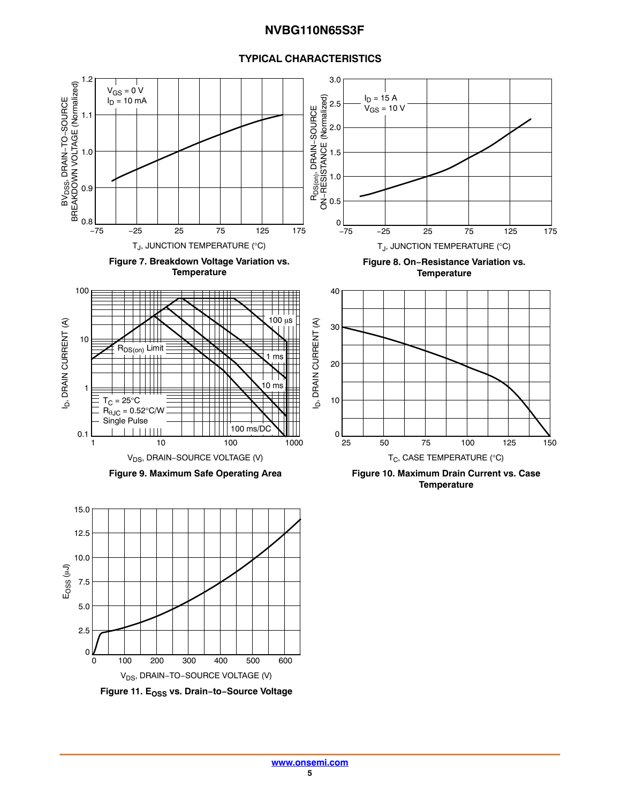#### **TYPICAL CHARACTERISTICS**

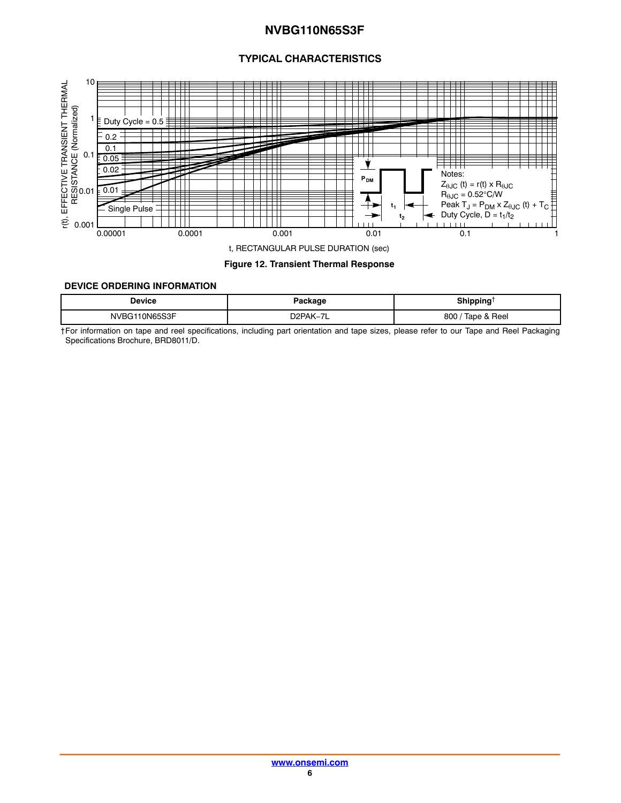#### **TYPICAL CHARACTERISTICS**

<span id="page-5-0"></span>

#### **Figure 12. Transient Thermal Response**

#### **DEVICE ORDERING INFORMATION**

| <b>Device</b>  | Package     | ıippinq<br>---      |
|----------------|-------------|---------------------|
| <b>ON65S3F</b> | $D$ $PAK -$ | Tape & Reel<br>800/ |

†For information on tape and reel specifications, including part orientation and tape sizes, please refer to our Tape and Reel Packaging Specifications Brochure, BRD8011/D.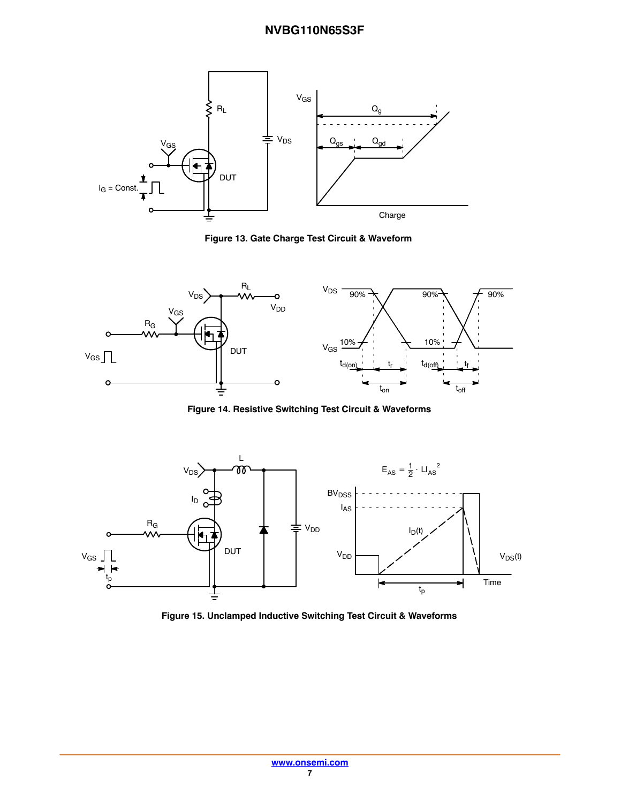

**Figure 13. Gate Charge Test Circuit & Waveform**



**Figure 14. Resistive Switching Test Circuit & Waveforms**



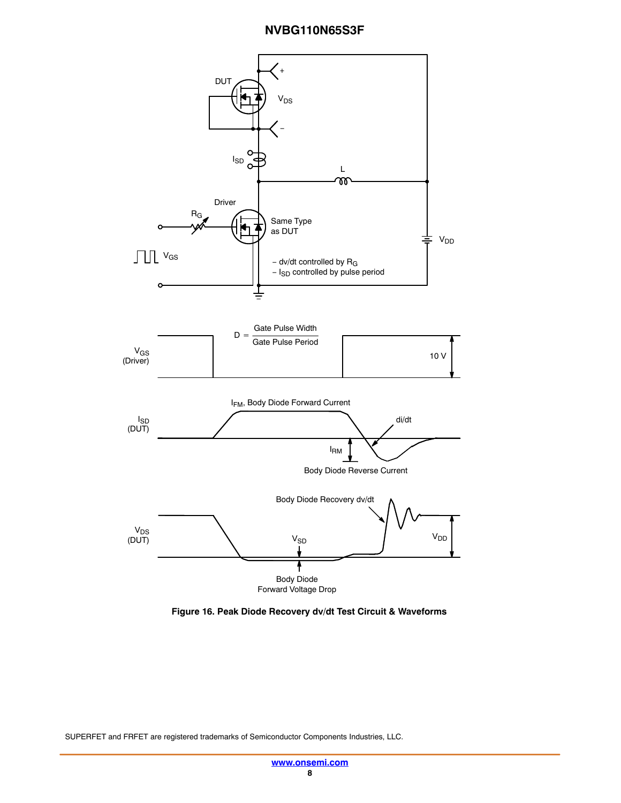

**Figure 16. Peak Diode Recovery dv/dt Test Circuit & Waveforms**

SUPERFET and FRFET are registered trademarks of Semiconductor Components Industries, LLC.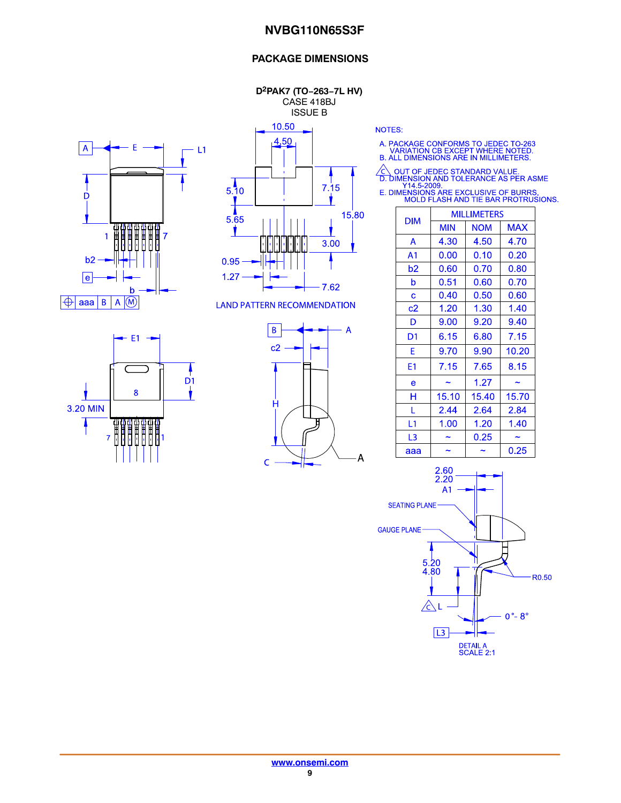#### **PACKAGE DIMENSIONS**

**D2PAK7 (TO−263−7L HV)** CASE 418BJ ISSUE B

10.50





**LAND PATTERN RECOMMENDATION** 

 $-E1 \overline{D}$ 1 8 3.20 MIN <del>0000000</del><br>HHHHHHH<br>UUUUUUU  $\overline{7}$ 



**NOTES:** 

A. PACKAGE CONFORMS TO JEDEC TO-263<br>VARIATION CB EXCEPT WHERE NOTED.<br>B. ALL DIMENSIONS ARE IN MILLIMETERS.

△ OUT OF JEDEC STANDARD VALUE.<br>
D. DIMENSION AND TOLERANCE AS PER ASME<br>
Y14.5-2009.<br>
E. DIMENSIONS ARE EXCLUSIVE OF BURRS.<br>
MOLD FLASH AND TIE BAR PROTRUSIONS.

| <b>DIM</b>     | <b>MILLIMETERS</b> |            |            |  |
|----------------|--------------------|------------|------------|--|
|                | <b>MIN</b>         | <b>NOM</b> | <b>MAX</b> |  |
| A              | 4.30               | 4.50       | 4.70       |  |
| A <sub>1</sub> | 0.00               | 0.10       | 0.20       |  |
| b2             | 0.60               | 0.70       | 0.80       |  |
| b              | 0.51               | 0.60       | 0.70       |  |
| C              | 0.40               | 0.50       | 0.60       |  |
| c2             | 1.20               | 1.30       | 1.40       |  |
| D              | 9.00               | 9.20       | 9.40       |  |
| D1             | 6.15               | 6.80       | 7.15       |  |
| F              | 9.70               | 9.90       | 10.20      |  |
| E1             | 7.15               | 7.65       | 8.15       |  |
| e              |                    | 1.27       |            |  |
| н              | 15.10              | 15.40      | 15.70      |  |
| L              | 2.44               | 2.64       | 2.84       |  |
| L1             | 1.00               | 1.20       | 1.40       |  |
| L3             |                    | 0.25       |            |  |
| ааа            |                    |            | 0.25       |  |